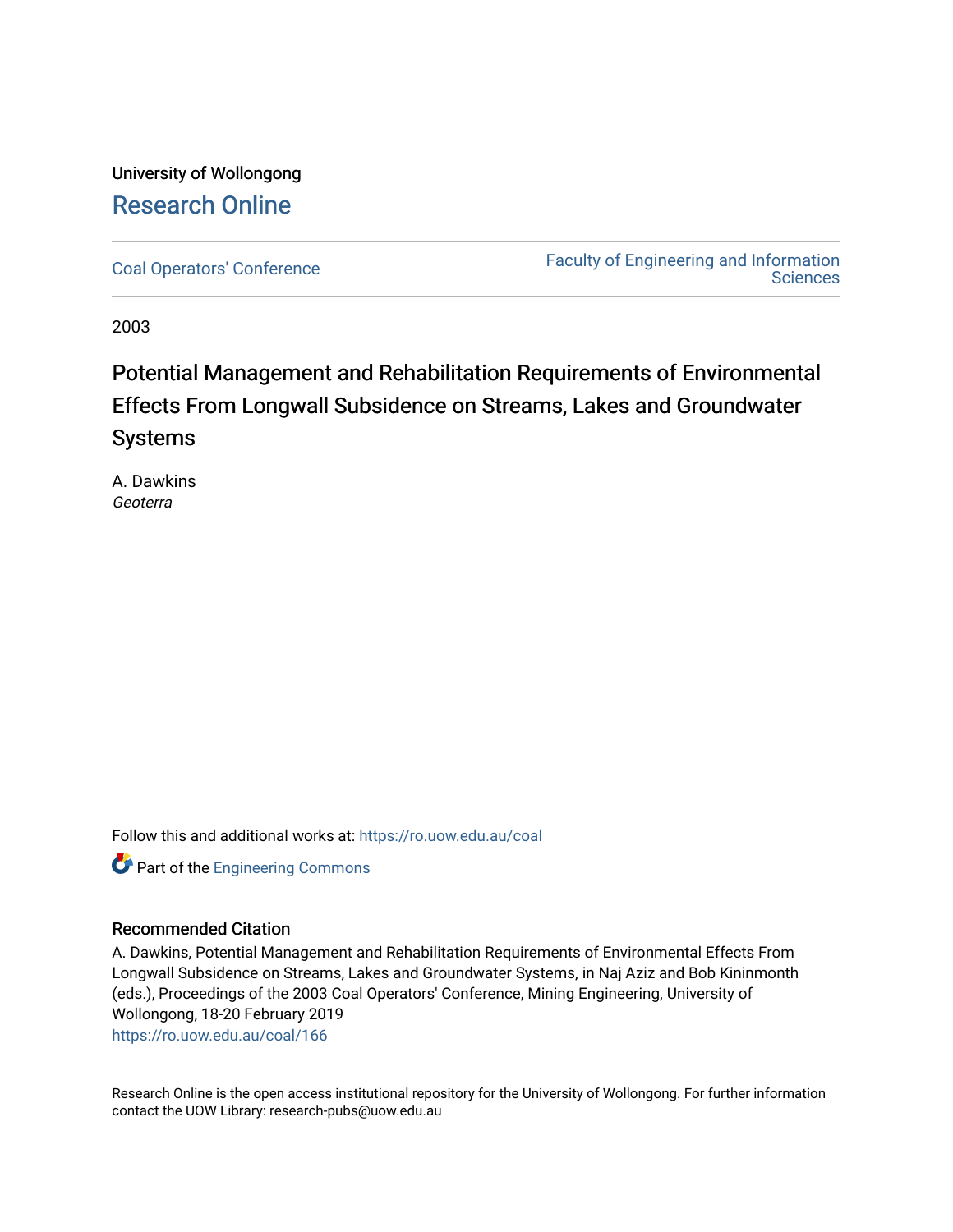### University of Wollongong [Research Online](https://ro.uow.edu.au/)

[Coal Operators' Conference](https://ro.uow.edu.au/coal) [Faculty of Engineering and Information](https://ro.uow.edu.au/eis)  **Sciences** 

2003

## Potential Management and Rehabilitation Requirements of Environmental Effects From Longwall Subsidence on Streams, Lakes and Groundwater Systems

A. Dawkins Geoterra

Follow this and additional works at: [https://ro.uow.edu.au/coal](https://ro.uow.edu.au/coal?utm_source=ro.uow.edu.au%2Fcoal%2F166&utm_medium=PDF&utm_campaign=PDFCoverPages) 

**Part of the [Engineering Commons](http://network.bepress.com/hgg/discipline/217?utm_source=ro.uow.edu.au%2Fcoal%2F166&utm_medium=PDF&utm_campaign=PDFCoverPages)** 

#### Recommended Citation

A. Dawkins, Potential Management and Rehabilitation Requirements of Environmental Effects From Longwall Subsidence on Streams, Lakes and Groundwater Systems, in Naj Aziz and Bob Kininmonth (eds.), Proceedings of the 2003 Coal Operators' Conference, Mining Engineering, University of Wollongong, 18-20 February 2019

[https://ro.uow.edu.au/coal/166](https://ro.uow.edu.au/coal/166?utm_source=ro.uow.edu.au%2Fcoal%2F166&utm_medium=PDF&utm_campaign=PDFCoverPages) 

Research Online is the open access institutional repository for the University of Wollongong. For further information contact the UOW Library: research-pubs@uow.edu.au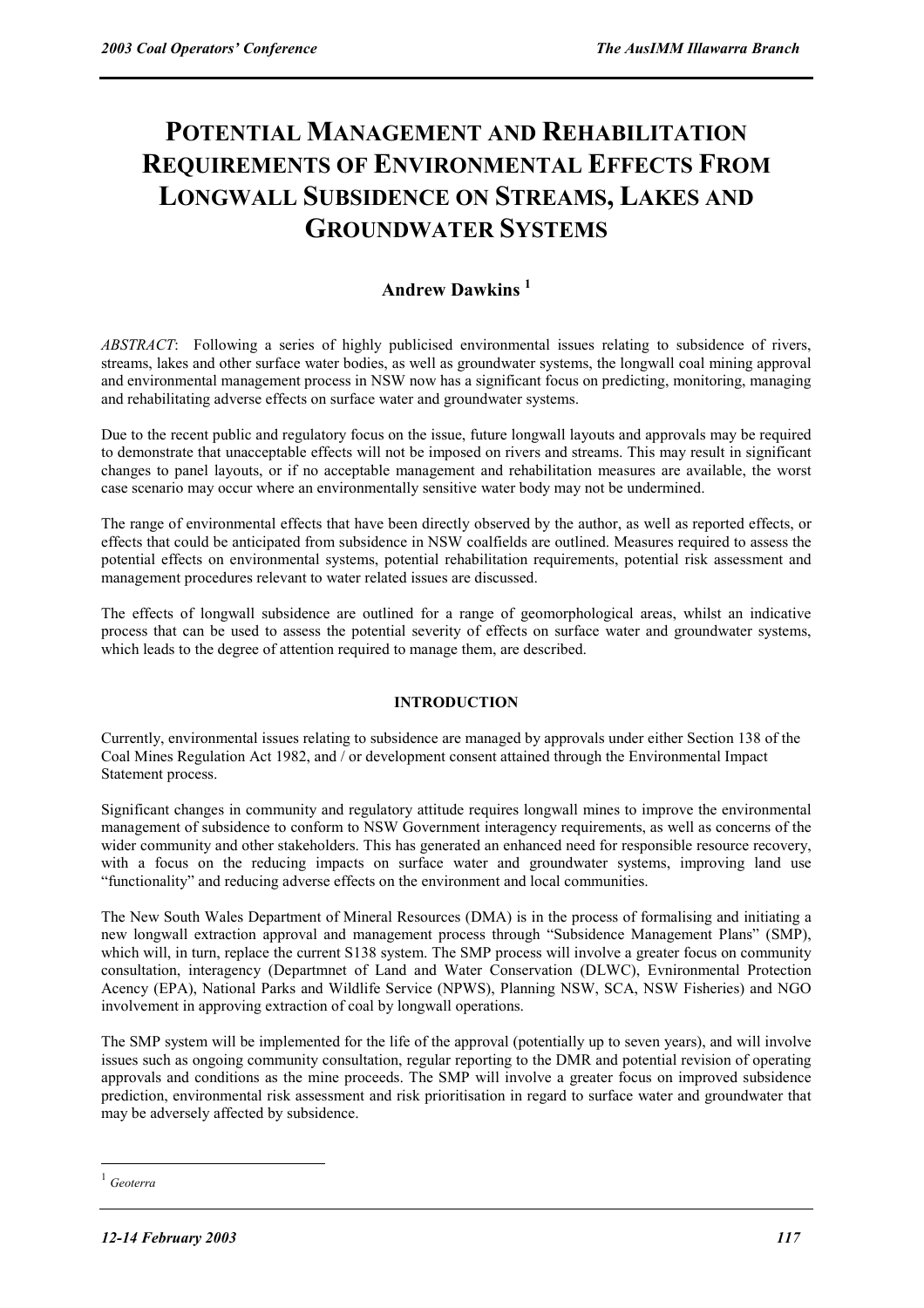# **POTENTIAL MANAGEMENT AND REHABILITATION REQUIREMENTS OF ENVIRONMENTAL EFFECTS FROM LONGWALL SUBSIDENCE ON STREAMS, LAKES AND GROUNDWATER SYSTEMS**

### **Andrew Dawkins 1**

*ABSTRACT*: Following a series of highly publicised environmental issues relating to subsidence of rivers, streams, lakes and other surface water bodies, as well as groundwater systems, the longwall coal mining approval and environmental management process in NSW now has a significant focus on predicting, monitoring, managing and rehabilitating adverse effects on surface water and groundwater systems.

Due to the recent public and regulatory focus on the issue, future longwall layouts and approvals may be required to demonstrate that unacceptable effects will not be imposed on rivers and streams. This may result in significant changes to panel layouts, or if no acceptable management and rehabilitation measures are available, the worst case scenario may occur where an environmentally sensitive water body may not be undermined.

The range of environmental effects that have been directly observed by the author, as well as reported effects, or effects that could be anticipated from subsidence in NSW coalfields are outlined. Measures required to assess the potential effects on environmental systems, potential rehabilitation requirements, potential risk assessment and management procedures relevant to water related issues are discussed.

The effects of longwall subsidence are outlined for a range of geomorphological areas, whilst an indicative process that can be used to assess the potential severity of effects on surface water and groundwater systems, which leads to the degree of attention required to manage them, are described.

#### **INTRODUCTION**

Currently, environmental issues relating to subsidence are managed by approvals under either Section 138 of the Coal Mines Regulation Act 1982, and / or development consent attained through the Environmental Impact Statement process.

Significant changes in community and regulatory attitude requires longwall mines to improve the environmental management of subsidence to conform to NSW Government interagency requirements, as well as concerns of the wider community and other stakeholders. This has generated an enhanced need for responsible resource recovery, with a focus on the reducing impacts on surface water and groundwater systems, improving land use "functionality" and reducing adverse effects on the environment and local communities.

The New South Wales Department of Mineral Resources (DMA) is in the process of formalising and initiating a new longwall extraction approval and management process through "Subsidence Management Plans" (SMP), which will, in turn, replace the current S138 system. The SMP process will involve a greater focus on community consultation, interagency (Departmnet of Land and Water Conservation (DLWC), Evnironmental Protection Acency (EPA), National Parks and Wildlife Service (NPWS), Planning NSW, SCA, NSW Fisheries) and NGO involvement in approving extraction of coal by longwall operations.

The SMP system will be implemented for the life of the approval (potentially up to seven years), and will involve issues such as ongoing community consultation, regular reporting to the DMR and potential revision of operating approvals and conditions as the mine proceeds. The SMP will involve a greater focus on improved subsidence prediction, environmental risk assessment and risk prioritisation in regard to surface water and groundwater that may be adversely affected by subsidence.

 $\overline{a}$ 

<sup>1</sup> *Geoterra*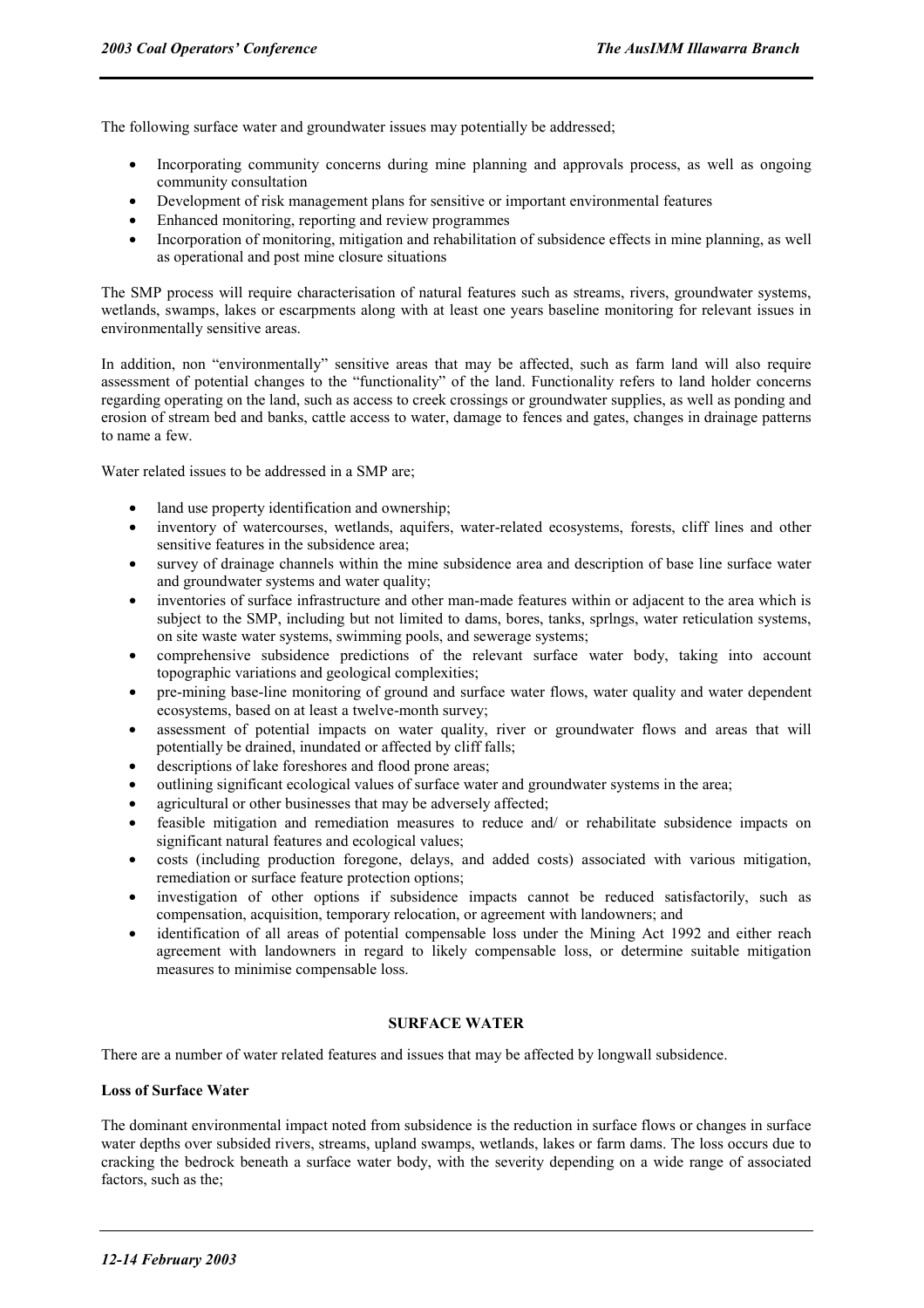The following surface water and groundwater issues may potentially be addressed;

- Incorporating community concerns during mine planning and approvals process, as well as ongoing community consultation
- Development of risk management plans for sensitive or important environmental features
- Enhanced monitoring, reporting and review programmes
- Incorporation of monitoring, mitigation and rehabilitation of subsidence effects in mine planning, as well as operational and post mine closure situations

The SMP process will require characterisation of natural features such as streams, rivers, groundwater systems, wetlands, swamps, lakes or escarpments along with at least one years baseline monitoring for relevant issues in environmentally sensitive areas.

In addition, non "environmentally" sensitive areas that may be affected, such as farm land will also require assessment of potential changes to the "functionality" of the land. Functionality refers to land holder concerns regarding operating on the land, such as access to creek crossings or groundwater supplies, as well as ponding and erosion of stream bed and banks, cattle access to water, damage to fences and gates, changes in drainage patterns to name a few.

Water related issues to be addressed in a SMP are;

- land use property identification and ownership;
- inventory of watercourses, wetlands, aquifers, water-related ecosystems, forests, cliff lines and other sensitive features in the subsidence area;
- survey of drainage channels within the mine subsidence area and description of base line surface water and groundwater systems and water quality;
- inventories of surface infrastructure and other man-made features within or adjacent to the area which is subject to the SMP, including but not limited to dams, bores, tanks, sprlngs, water reticulation systems, on site waste water systems, swimming pools, and sewerage systems;
- comprehensive subsidence predictions of the relevant surface water body, taking into account topographic variations and geological complexities;
- pre-mining base-line monitoring of ground and surface water flows, water quality and water dependent ecosystems, based on at least a twelve-month survey;
- assessment of potential impacts on water quality, river or groundwater flows and areas that will potentially be drained, inundated or affected by cliff falls;
- descriptions of lake foreshores and flood prone areas;
- outlining significant ecological values of surface water and groundwater systems in the area;
- agricultural or other businesses that may be adversely affected;
- feasible mitigation and remediation measures to reduce and/ or rehabilitate subsidence impacts on significant natural features and ecological values;
- costs (including production foregone, delays, and added costs) associated with various mitigation, remediation or surface feature protection options;
- investigation of other options if subsidence impacts cannot be reduced satisfactorily, such as compensation, acquisition, temporary relocation, or agreement with landowners; and
- identification of all areas of potential compensable loss under the Mining Act 1992 and either reach agreement with landowners in regard to likely compensable loss, or determine suitable mitigation measures to minimise compensable loss.

#### **SURFACE WATER**

There are a number of water related features and issues that may be affected by longwall subsidence.

#### **Loss of Surface Water**

The dominant environmental impact noted from subsidence is the reduction in surface flows or changes in surface water depths over subsided rivers, streams, upland swamps, wetlands, lakes or farm dams. The loss occurs due to cracking the bedrock beneath a surface water body, with the severity depending on a wide range of associated factors, such as the;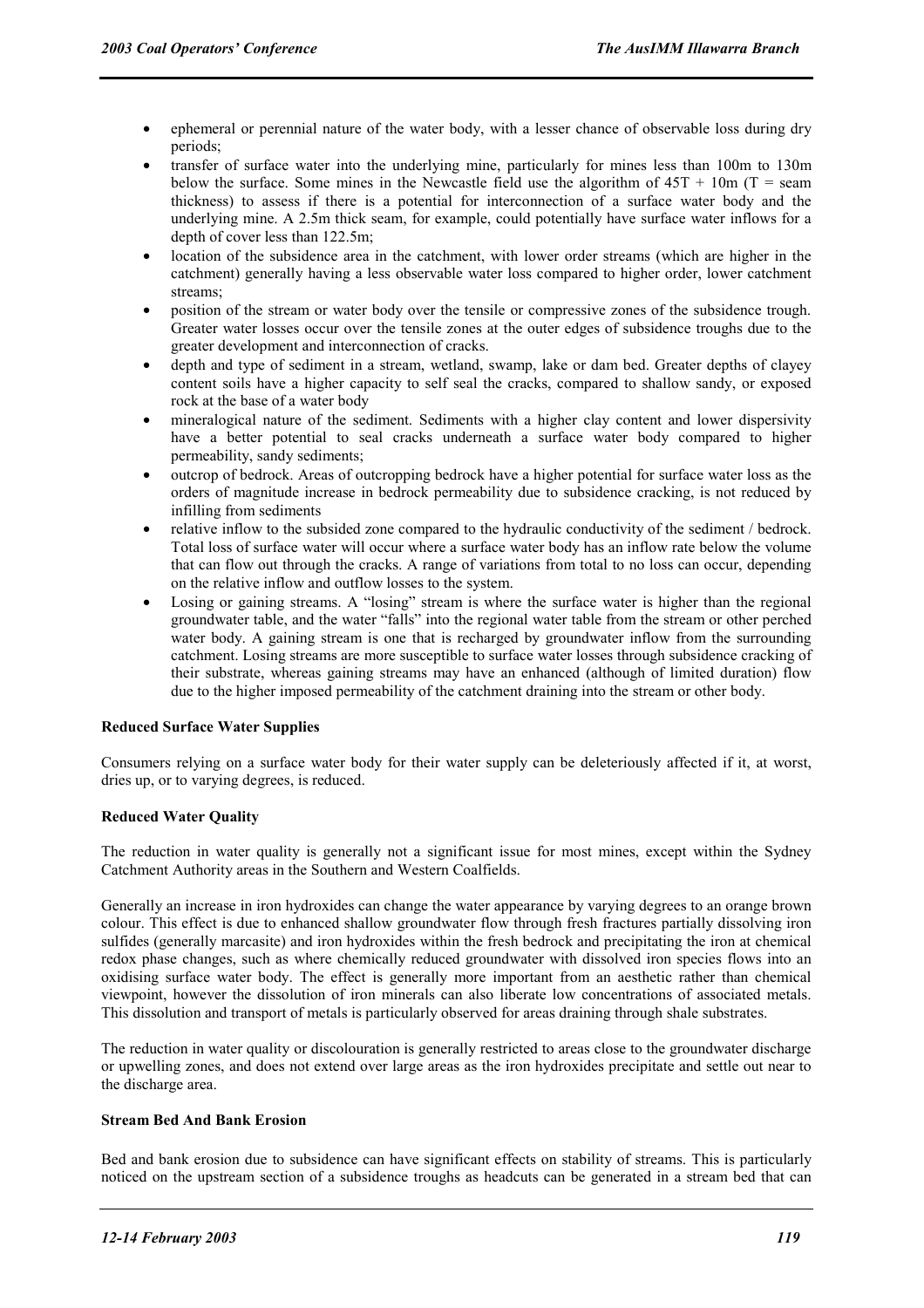- ephemeral or perennial nature of the water body, with a lesser chance of observable loss during dry periods;
- transfer of surface water into the underlying mine, particularly for mines less than 100m to 130m below the surface. Some mines in the Newcastle field use the algorithm of  $45T + 10m$  (T = seam thickness) to assess if there is a potential for interconnection of a surface water body and the underlying mine. A 2.5m thick seam, for example, could potentially have surface water inflows for a depth of cover less than 122.5m;
- location of the subsidence area in the catchment, with lower order streams (which are higher in the catchment) generally having a less observable water loss compared to higher order, lower catchment streams;
- position of the stream or water body over the tensile or compressive zones of the subsidence trough. Greater water losses occur over the tensile zones at the outer edges of subsidence troughs due to the greater development and interconnection of cracks.
- depth and type of sediment in a stream, wetland, swamp, lake or dam bed. Greater depths of clayey content soils have a higher capacity to self seal the cracks, compared to shallow sandy, or exposed rock at the base of a water body
- mineralogical nature of the sediment. Sediments with a higher clay content and lower dispersivity have a better potential to seal cracks underneath a surface water body compared to higher permeability, sandy sediments;
- outcrop of bedrock. Areas of outcropping bedrock have a higher potential for surface water loss as the orders of magnitude increase in bedrock permeability due to subsidence cracking, is not reduced by infilling from sediments
- relative inflow to the subsided zone compared to the hydraulic conductivity of the sediment / bedrock. Total loss of surface water will occur where a surface water body has an inflow rate below the volume that can flow out through the cracks. A range of variations from total to no loss can occur, depending on the relative inflow and outflow losses to the system.
- Losing or gaining streams. A "losing" stream is where the surface water is higher than the regional groundwater table, and the water "falls" into the regional water table from the stream or other perched water body. A gaining stream is one that is recharged by groundwater inflow from the surrounding catchment. Losing streams are more susceptible to surface water losses through subsidence cracking of their substrate, whereas gaining streams may have an enhanced (although of limited duration) flow due to the higher imposed permeability of the catchment draining into the stream or other body.

#### **Reduced Surface Water Supplies**

Consumers relying on a surface water body for their water supply can be deleteriously affected if it, at worst, dries up, or to varying degrees, is reduced.

#### **Reduced Water Quality**

The reduction in water quality is generally not a significant issue for most mines, except within the Sydney Catchment Authority areas in the Southern and Western Coalfields.

Generally an increase in iron hydroxides can change the water appearance by varying degrees to an orange brown colour. This effect is due to enhanced shallow groundwater flow through fresh fractures partially dissolving iron sulfides (generally marcasite) and iron hydroxides within the fresh bedrock and precipitating the iron at chemical redox phase changes, such as where chemically reduced groundwater with dissolved iron species flows into an oxidising surface water body. The effect is generally more important from an aesthetic rather than chemical viewpoint, however the dissolution of iron minerals can also liberate low concentrations of associated metals. This dissolution and transport of metals is particularly observed for areas draining through shale substrates.

The reduction in water quality or discolouration is generally restricted to areas close to the groundwater discharge or upwelling zones, and does not extend over large areas as the iron hydroxides precipitate and settle out near to the discharge area.

#### **Stream Bed And Bank Erosion**

Bed and bank erosion due to subsidence can have significant effects on stability of streams. This is particularly noticed on the upstream section of a subsidence troughs as headcuts can be generated in a stream bed that can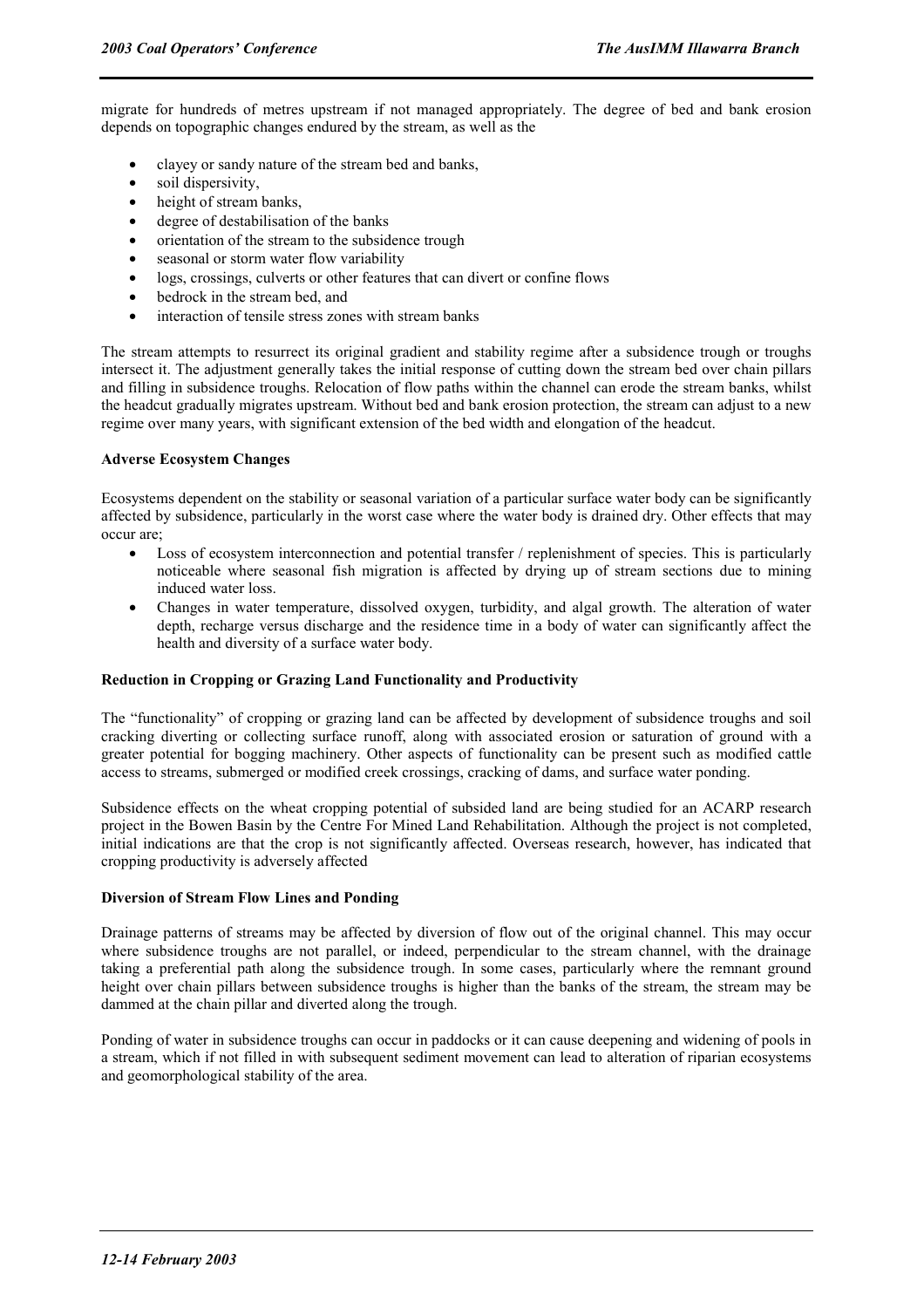migrate for hundreds of metres upstream if not managed appropriately. The degree of bed and bank erosion depends on topographic changes endured by the stream, as well as the

- clayey or sandy nature of the stream bed and banks,
- soil dispersivity,
- height of stream banks,
- degree of destabilisation of the banks
- orientation of the stream to the subsidence trough
- seasonal or storm water flow variability
- logs, crossings, culverts or other features that can divert or confine flows
- bedrock in the stream bed, and
- interaction of tensile stress zones with stream banks

The stream attempts to resurrect its original gradient and stability regime after a subsidence trough or troughs intersect it. The adjustment generally takes the initial response of cutting down the stream bed over chain pillars and filling in subsidence troughs. Relocation of flow paths within the channel can erode the stream banks, whilst the headcut gradually migrates upstream. Without bed and bank erosion protection, the stream can adjust to a new regime over many years, with significant extension of the bed width and elongation of the headcut.

#### **Adverse Ecosystem Changes**

Ecosystems dependent on the stability or seasonal variation of a particular surface water body can be significantly affected by subsidence, particularly in the worst case where the water body is drained dry. Other effects that may occur are;

- Loss of ecosystem interconnection and potential transfer / replenishment of species. This is particularly noticeable where seasonal fish migration is affected by drying up of stream sections due to mining induced water loss.
- Changes in water temperature, dissolved oxygen, turbidity, and algal growth. The alteration of water depth, recharge versus discharge and the residence time in a body of water can significantly affect the health and diversity of a surface water body.

#### **Reduction in Cropping or Grazing Land Functionality and Productivity**

The "functionality" of cropping or grazing land can be affected by development of subsidence troughs and soil cracking diverting or collecting surface runoff, along with associated erosion or saturation of ground with a greater potential for bogging machinery. Other aspects of functionality can be present such as modified cattle access to streams, submerged or modified creek crossings, cracking of dams, and surface water ponding.

Subsidence effects on the wheat cropping potential of subsided land are being studied for an ACARP research project in the Bowen Basin by the Centre For Mined Land Rehabilitation. Although the project is not completed, initial indications are that the crop is not significantly affected. Overseas research, however, has indicated that cropping productivity is adversely affected

#### **Diversion of Stream Flow Lines and Ponding**

Drainage patterns of streams may be affected by diversion of flow out of the original channel. This may occur where subsidence troughs are not parallel, or indeed, perpendicular to the stream channel, with the drainage taking a preferential path along the subsidence trough. In some cases, particularly where the remnant ground height over chain pillars between subsidence troughs is higher than the banks of the stream, the stream may be dammed at the chain pillar and diverted along the trough.

Ponding of water in subsidence troughs can occur in paddocks or it can cause deepening and widening of pools in a stream, which if not filled in with subsequent sediment movement can lead to alteration of riparian ecosystems and geomorphological stability of the area.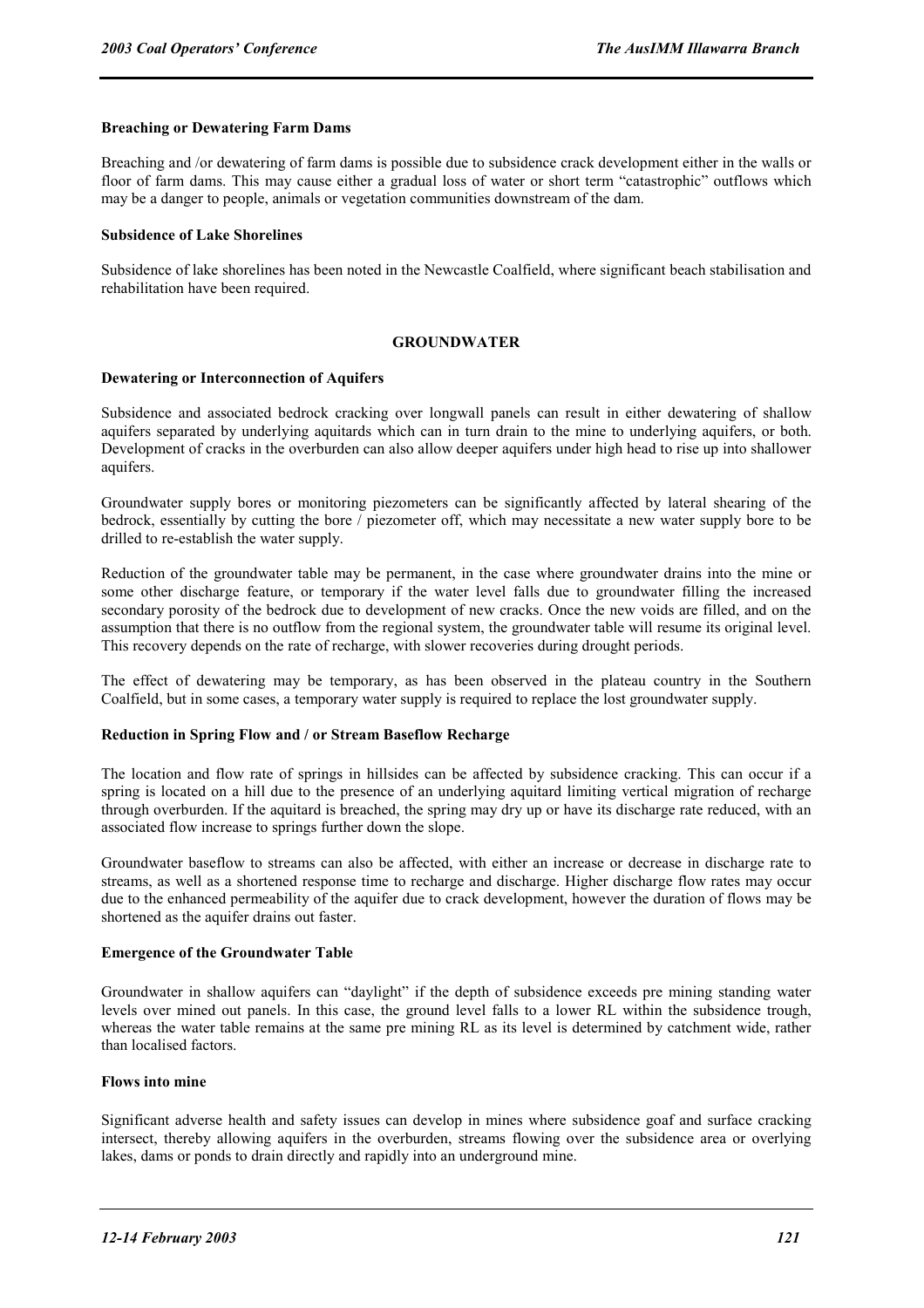#### **Breaching or Dewatering Farm Dams**

Breaching and /or dewatering of farm dams is possible due to subsidence crack development either in the walls or floor of farm dams. This may cause either a gradual loss of water or short term "catastrophic" outflows which may be a danger to people, animals or vegetation communities downstream of the dam.

#### **Subsidence of Lake Shorelines**

Subsidence of lake shorelines has been noted in the Newcastle Coalfield, where significant beach stabilisation and rehabilitation have been required.

#### **GROUNDWATER**

#### **Dewatering or Interconnection of Aquifers**

Subsidence and associated bedrock cracking over longwall panels can result in either dewatering of shallow aquifers separated by underlying aquitards which can in turn drain to the mine to underlying aquifers, or both. Development of cracks in the overburden can also allow deeper aquifers under high head to rise up into shallower aquifers.

Groundwater supply bores or monitoring piezometers can be significantly affected by lateral shearing of the bedrock, essentially by cutting the bore / piezometer off, which may necessitate a new water supply bore to be drilled to re-establish the water supply.

Reduction of the groundwater table may be permanent, in the case where groundwater drains into the mine or some other discharge feature, or temporary if the water level falls due to groundwater filling the increased secondary porosity of the bedrock due to development of new cracks. Once the new voids are filled, and on the assumption that there is no outflow from the regional system, the groundwater table will resume its original level. This recovery depends on the rate of recharge, with slower recoveries during drought periods.

The effect of dewatering may be temporary, as has been observed in the plateau country in the Southern Coalfield, but in some cases, a temporary water supply is required to replace the lost groundwater supply.

#### **Reduction in Spring Flow and / or Stream Baseflow Recharge**

The location and flow rate of springs in hillsides can be affected by subsidence cracking. This can occur if a spring is located on a hill due to the presence of an underlying aquitard limiting vertical migration of recharge through overburden. If the aquitard is breached, the spring may dry up or have its discharge rate reduced, with an associated flow increase to springs further down the slope.

Groundwater baseflow to streams can also be affected, with either an increase or decrease in discharge rate to streams, as well as a shortened response time to recharge and discharge. Higher discharge flow rates may occur due to the enhanced permeability of the aquifer due to crack development, however the duration of flows may be shortened as the aquifer drains out faster.

#### **Emergence of the Groundwater Table**

Groundwater in shallow aquifers can "daylight" if the depth of subsidence exceeds pre mining standing water levels over mined out panels. In this case, the ground level falls to a lower RL within the subsidence trough, whereas the water table remains at the same pre mining RL as its level is determined by catchment wide, rather than localised factors.

#### **Flows into mine**

Significant adverse health and safety issues can develop in mines where subsidence goaf and surface cracking intersect, thereby allowing aquifers in the overburden, streams flowing over the subsidence area or overlying lakes, dams or ponds to drain directly and rapidly into an underground mine.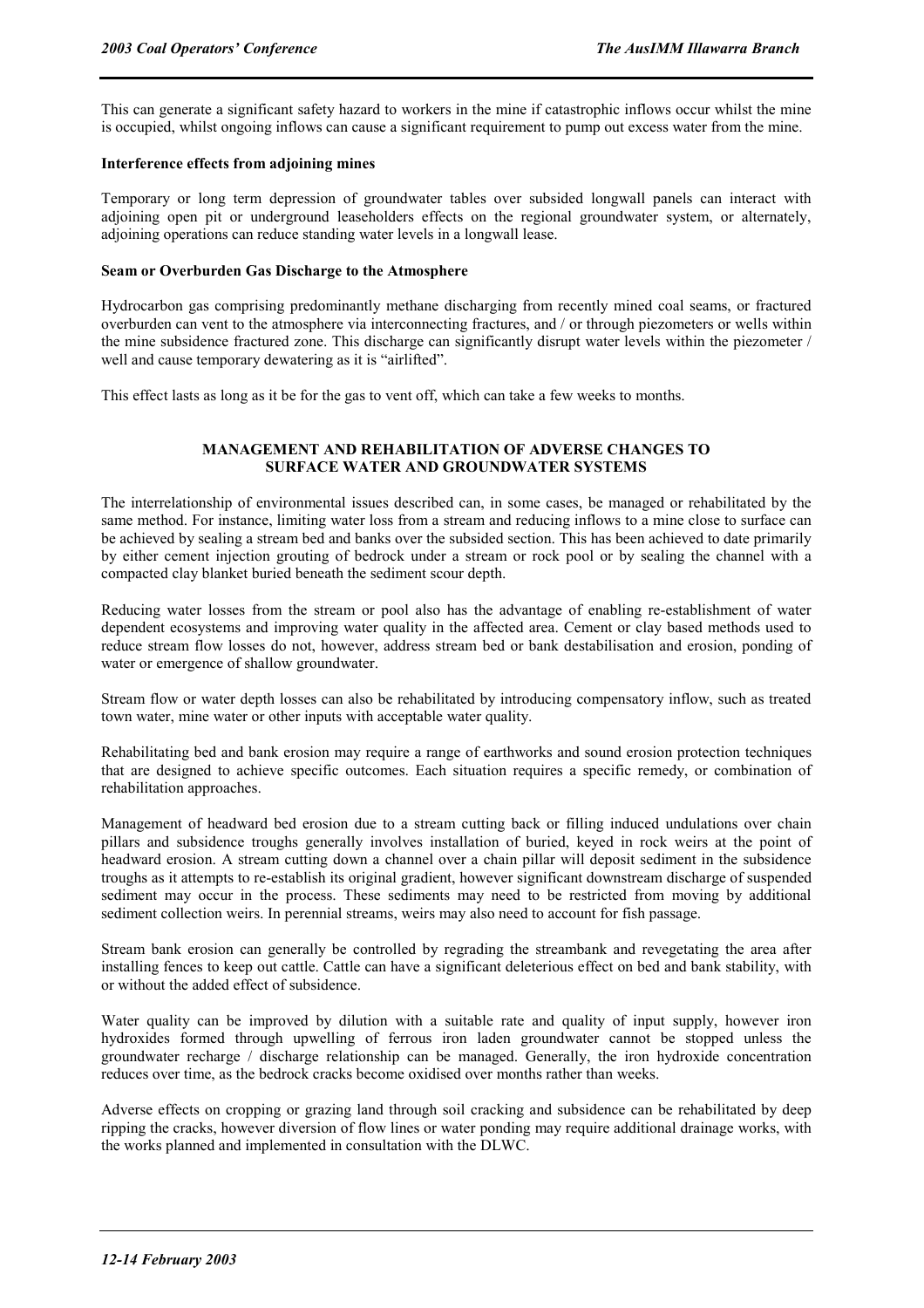This can generate a significant safety hazard to workers in the mine if catastrophic inflows occur whilst the mine is occupied, whilst ongoing inflows can cause a significant requirement to pump out excess water from the mine.

#### **Interference effects from adjoining mines**

Temporary or long term depression of groundwater tables over subsided longwall panels can interact with adjoining open pit or underground leaseholders effects on the regional groundwater system, or alternately, adjoining operations can reduce standing water levels in a longwall lease.

#### **Seam or Overburden Gas Discharge to the Atmosphere**

Hydrocarbon gas comprising predominantly methane discharging from recently mined coal seams, or fractured overburden can vent to the atmosphere via interconnecting fractures, and / or through piezometers or wells within the mine subsidence fractured zone. This discharge can significantly disrupt water levels within the piezometer / well and cause temporary dewatering as it is "airlifted".

This effect lasts as long as it be for the gas to vent off, which can take a few weeks to months.

#### **MANAGEMENT AND REHABILITATION OF ADVERSE CHANGES TO SURFACE WATER AND GROUNDWATER SYSTEMS**

The interrelationship of environmental issues described can, in some cases, be managed or rehabilitated by the same method. For instance, limiting water loss from a stream and reducing inflows to a mine close to surface can be achieved by sealing a stream bed and banks over the subsided section. This has been achieved to date primarily by either cement injection grouting of bedrock under a stream or rock pool or by sealing the channel with a compacted clay blanket buried beneath the sediment scour depth.

Reducing water losses from the stream or pool also has the advantage of enabling re-establishment of water dependent ecosystems and improving water quality in the affected area. Cement or clay based methods used to reduce stream flow losses do not, however, address stream bed or bank destabilisation and erosion, ponding of water or emergence of shallow groundwater.

Stream flow or water depth losses can also be rehabilitated by introducing compensatory inflow, such as treated town water, mine water or other inputs with acceptable water quality.

Rehabilitating bed and bank erosion may require a range of earthworks and sound erosion protection techniques that are designed to achieve specific outcomes. Each situation requires a specific remedy, or combination of rehabilitation approaches.

Management of headward bed erosion due to a stream cutting back or filling induced undulations over chain pillars and subsidence troughs generally involves installation of buried, keyed in rock weirs at the point of headward erosion. A stream cutting down a channel over a chain pillar will deposit sediment in the subsidence troughs as it attempts to re-establish its original gradient, however significant downstream discharge of suspended sediment may occur in the process. These sediments may need to be restricted from moving by additional sediment collection weirs. In perennial streams, weirs may also need to account for fish passage.

Stream bank erosion can generally be controlled by regrading the streambank and revegetating the area after installing fences to keep out cattle. Cattle can have a significant deleterious effect on bed and bank stability, with or without the added effect of subsidence.

Water quality can be improved by dilution with a suitable rate and quality of input supply, however iron hydroxides formed through upwelling of ferrous iron laden groundwater cannot be stopped unless the groundwater recharge / discharge relationship can be managed. Generally, the iron hydroxide concentration reduces over time, as the bedrock cracks become oxidised over months rather than weeks.

Adverse effects on cropping or grazing land through soil cracking and subsidence can be rehabilitated by deep ripping the cracks, however diversion of flow lines or water ponding may require additional drainage works, with the works planned and implemented in consultation with the DLWC.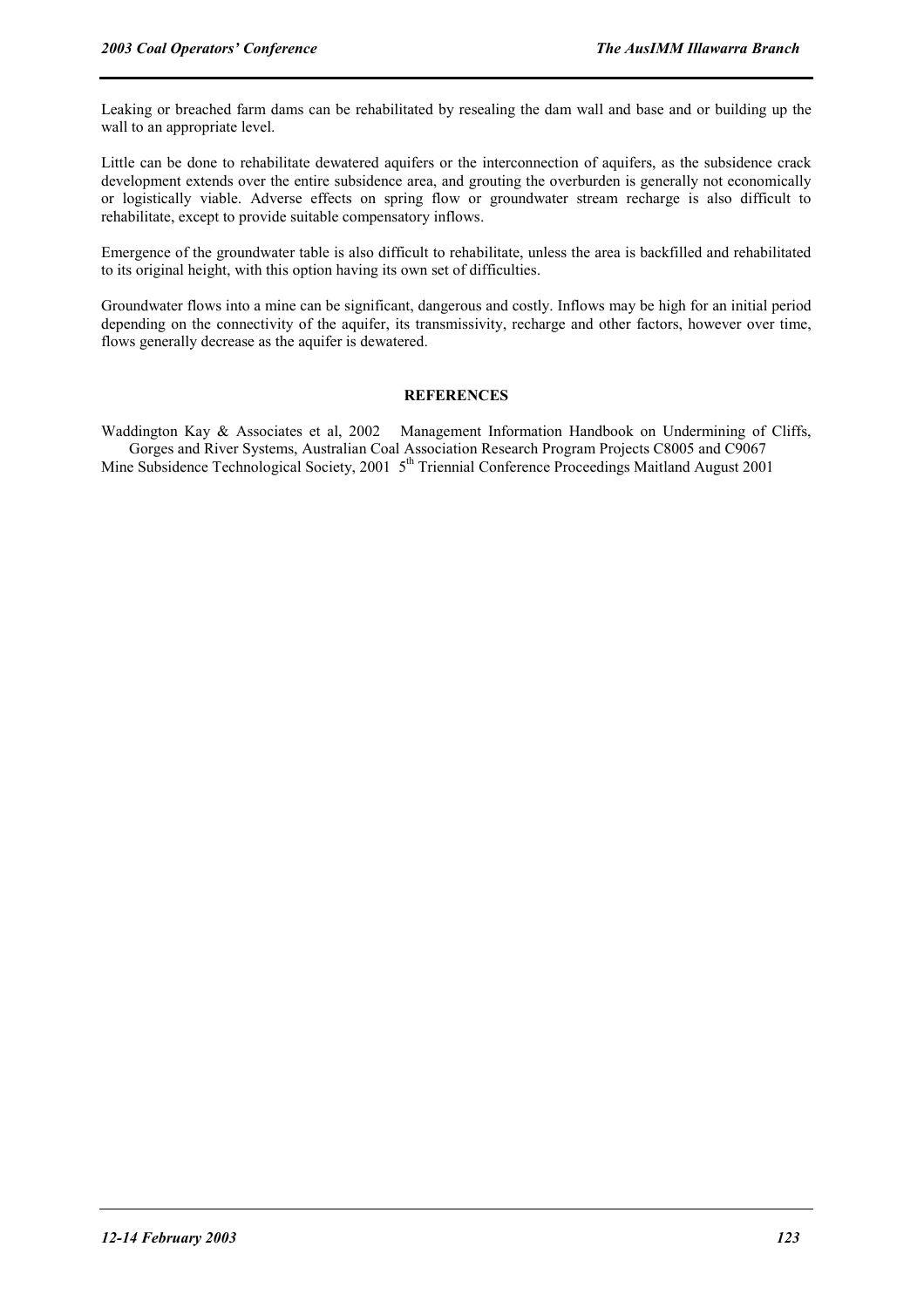Leaking or breached farm dams can be rehabilitated by resealing the dam wall and base and or building up the wall to an appropriate level.

Little can be done to rehabilitate dewatered aquifers or the interconnection of aquifers, as the subsidence crack development extends over the entire subsidence area, and grouting the overburden is generally not economically or logistically viable. Adverse effects on spring flow or groundwater stream recharge is also difficult to rehabilitate, except to provide suitable compensatory inflows.

Emergence of the groundwater table is also difficult to rehabilitate, unless the area is backfilled and rehabilitated to its original height, with this option having its own set of difficulties.

Groundwater flows into a mine can be significant, dangerous and costly. Inflows may be high for an initial period depending on the connectivity of the aquifer, its transmissivity, recharge and other factors, however over time, flows generally decrease as the aquifer is dewatered.

#### **REFERENCES**

Waddington Kay & Associates et al, 2002 Management Information Handbook on Undermining of Cliffs, Gorges and River Systems, Australian Coal Association Research Program Projects C8005 and C9067 Mine Subsidence Technological Society, 2001 5<sup>th</sup> Triennial Conference Proceedings Maitland August 2001